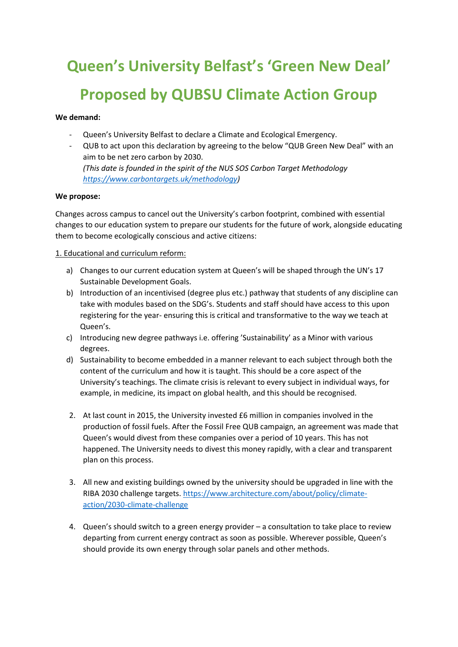# **Queen's University Belfast's 'Green New Deal' Proposed by QUBSU Climate Action Group**

## **We demand:**

- Queen's University Belfast to declare a Climate and Ecological Emergency.
- QUB to act upon this declaration by agreeing to the below "QUB Green New Deal" with an aim to be net zero carbon by 2030. *(This date is founded in the spirit of the NUS SOS Carbon Target Methodology*

*[https://www.carbontargets.uk/methodology\)](https://www.carbontargets.uk/methodology)*

## **We propose:**

Changes across campus to cancel out the University's carbon footprint, combined with essential changes to our education system to prepare our students for the future of work, alongside educating them to become ecologically conscious and active citizens:

## 1. Educational and curriculum reform:

- a) Changes to our current education system at Queen's will be shaped through the UN's 17 Sustainable Development Goals.
- b) Introduction of an incentivised (degree plus etc.) pathway that students of any discipline can take with modules based on the SDG's. Students and staff should have access to this upon registering for the year- ensuring this is critical and transformative to the way we teach at Queen's.
- c) Introducing new degree pathways i.e. offering 'Sustainability' as a Minor with various degrees.
- d) Sustainability to become embedded in a manner relevant to each subject through both the content of the curriculum and how it is taught. This should be a core aspect of the University's teachings. The climate crisis is relevant to every subject in individual ways, for example, in medicine, its impact on global health, and this should be recognised.
- 2. At last count in 2015, the University invested £6 million in companies involved in the production of fossil fuels. After the Fossil Free QUB campaign, an agreement was made that Queen's would divest from these companies over a period of 10 years. This has not happened. The University needs to divest this money rapidly, with a clear and transparent plan on this process.
- 3. All new and existing buildings owned by the university should be upgraded in line with the RIBA 2030 challenge targets. [https://www.architecture.com/about/policy/climate](https://www.architecture.com/about/policy/climate-action/2030-climate-challenge)[action/2030-climate-challenge](https://www.architecture.com/about/policy/climate-action/2030-climate-challenge)
- 4. Queen's should switch to a green energy provider a consultation to take place to review departing from current energy contract as soon as possible. Wherever possible, Queen's should provide its own energy through solar panels and other methods.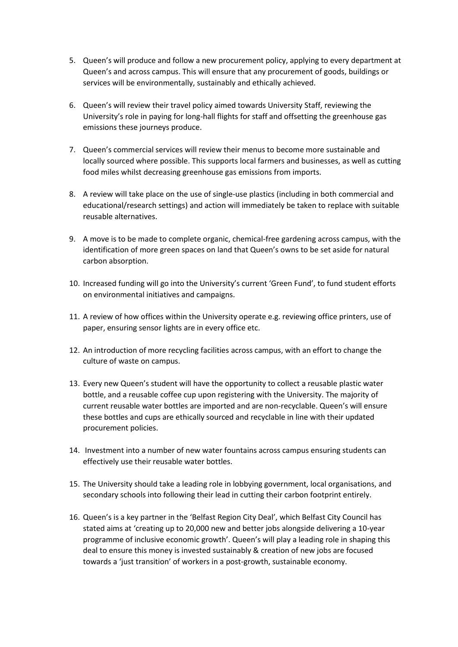- 5. Queen's will produce and follow a new procurement policy, applying to every department at Queen's and across campus. This will ensure that any procurement of goods, buildings or services will be environmentally, sustainably and ethically achieved.
- 6. Queen's will review their travel policy aimed towards University Staff, reviewing the University's role in paying for long-hall flights for staff and offsetting the greenhouse gas emissions these journeys produce.
- 7. Queen's commercial services will review their menus to become more sustainable and locally sourced where possible. This supports local farmers and businesses, as well as cutting food miles whilst decreasing greenhouse gas emissions from imports.
- 8. A review will take place on the use of single-use plastics (including in both commercial and educational/research settings) and action will immediately be taken to replace with suitable reusable alternatives.
- 9. A move is to be made to complete organic, chemical-free gardening across campus, with the identification of more green spaces on land that Queen's owns to be set aside for natural carbon absorption.
- 10. Increased funding will go into the University's current 'Green Fund', to fund student efforts on environmental initiatives and campaigns.
- 11. A review of how offices within the University operate e.g. reviewing office printers, use of paper, ensuring sensor lights are in every office etc.
- 12. An introduction of more recycling facilities across campus, with an effort to change the culture of waste on campus.
- 13. Every new Queen's student will have the opportunity to collect a reusable plastic water bottle, and a reusable coffee cup upon registering with the University. The majority of current reusable water bottles are imported and are non-recyclable. Queen's will ensure these bottles and cups are ethically sourced and recyclable in line with their updated procurement policies.
- 14. Investment into a number of new water fountains across campus ensuring students can effectively use their reusable water bottles.
- 15. The University should take a leading role in lobbying government, local organisations, and secondary schools into following their lead in cutting their carbon footprint entirely.
- 16. Queen's is a key partner in the 'Belfast Region City Deal', which Belfast City Council has stated aims at 'creating up to 20,000 new and better jobs alongside delivering a 10-year programme of inclusive economic growth'. Queen's will play a leading role in shaping this deal to ensure this money is invested sustainably & creation of new jobs are focused towards a 'just transition' of workers in a post-growth, sustainable economy.